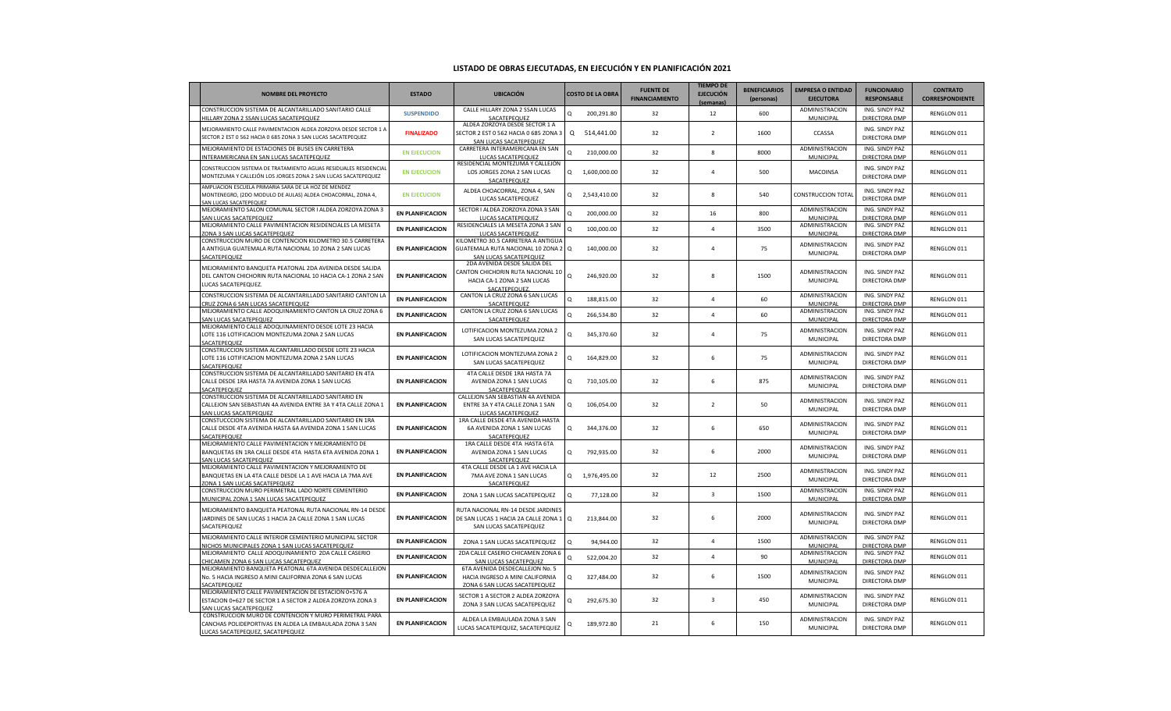## **LISTADO DE OBRAS EJECUTADAS, EN EJECUCIÓN Y EN PLANIFICACIÓN 2021**

| <b>NOMBRE DEL PROYECTO</b>                                                                                                                            | <b>ESTADO</b>           | <b>UBICACIÓN</b>                                                                                                  |   | <b>COSTO DE LA OBRA</b> | <b>FUENTE DE</b><br><b>FINANCIAMIENTO</b> | <b>TIEMPO DE</b><br><b>EJECUCIÓN</b><br>(semanas) | <b>BENEFICIARIOS</b><br>(personas) | <b>EMPRESA O ENTIDAD</b><br><b>EJECUTORA</b> | <b>FUNCIONARIO</b><br><b>RESPONSABLE</b> | <b>CONTRATO</b><br><b>CORRESPONDIENTE</b> |
|-------------------------------------------------------------------------------------------------------------------------------------------------------|-------------------------|-------------------------------------------------------------------------------------------------------------------|---|-------------------------|-------------------------------------------|---------------------------------------------------|------------------------------------|----------------------------------------------|------------------------------------------|-------------------------------------------|
| CONSTRUCCION SISTEMA DE ALCANTARILLADO SANITARIO CALLE<br>HILLARY ZONA 2 SSAN LUCAS SACATEPEQUEZ                                                      | <b>SUSPENDIDO</b>       | CALLE HILLARY ZONA 2 SSAN LUCAS<br>SACATEPEQUEZ                                                                   | Q | 200,291.80              | 32                                        | 12                                                | 600                                | ADMINISTRACION<br>MUNICIPAL                  | ING. SINDY PAZ<br>DIRECTORA DMP          | RENGLON 011                               |
| MEJORAMIENTO CALLE PAVIMENTACION ALDEA ZORZOYA DESDE SECTOR 1 A<br>SECTOR 2 EST 0 562 HACIA 0 685 ZONA 3 SAN LUCAS SACATEPEQUEZ                       | <b>FINALIZADO</b>       | ALDEA ZORZOYA DESDE SECTOR 1 A<br>SECTOR 2 EST 0 562 HACIA 0 685 ZONA 3<br>SAN LUCAS SACATEPEQUEZ                 |   | Q 514,441.00            | 32                                        | $\overline{2}$                                    | 1600                               | CCASSA                                       | ING. SINDY PAZ<br>DIRECTORA DMP          | RENGLON 011                               |
| MEJORAMIENTO DE ESTACIONES DE BUSES EN CARRETERA<br>INTERAMERICANA EN SAN LUCAS SACATEPEQUEZ                                                          | <b>EN EJECUCION</b>     | CARRETERA INTERAMERICANA EN SAN<br>LUCAS SACATEPEQUEZ                                                             | o | 210,000.00              | 32                                        | 8                                                 | 8000                               | ADMINISTRACION<br>MUNICIPAL                  | ING. SINDY PAZ<br>DIRECTORA DMP          | RENGLON 011                               |
| CONSTRUCCION SISTEMA DE TRATAMIENTO AGUAS RESIDUALES RESIDENCIAI<br>MONTEZUMA Y CALLEJÓN LOS JORGES ZONA 2 SAN LUCAS SACATEPEQUEZ                     | <b>EN EJECUCION</b>     | RESIDENCIAL MONTEZUMA Y CALLEJÓN<br>LOS JORGES ZONA 2 SAN LUCAS<br>SACATEPEQUEZ                                   |   | Q 1,600,000.00          | 32                                        | $\overline{4}$                                    | 500                                | MACOINSA                                     | ING. SINDY PAZ<br>DIRECTORA DMP          | RENGLON 011                               |
| MPLIACION ESCUELA PRIMARIA SARA DE LA HOZ DE MENDEZ<br>MONTENEGRO, (2DO MODULO DE AULAS) ALDEA CHOACORRAL, ZONA 4,<br><b>SAN LUCAS SACATEPEQUEZ</b>   | <b>EN EJECUCION</b>     | ALDEA CHOACORRAL, ZONA 4, SAN<br>LUCAS SACATEPEQUEZ                                                               |   | Q 2,543,410.00          | 32                                        | 8                                                 | 540                                | <b>CONSTRUCCION TOTA</b>                     | ING. SINDY PAZ<br>DIRECTORA DMP          | RENGLON 011                               |
| MEJORAMIENTO SALON COMUNAL SECTOR I ALDEA ZORZOYA ZONA 3<br><b>SAN LUCAS SACATEPEQUEZ</b>                                                             | <b>EN PLANIFICACION</b> | SECTOR I ALDEA ZORZOYA ZONA 3 SAN<br>LUCAS SACATEPEQUEZ                                                           | Q | 200,000.00              | 32                                        | 16                                                | 800                                | ADMINISTRACION<br>MUNICIPAL                  | ING. SINDY PAZ<br>DIRECTORA DMP          | RENGLON 011                               |
| MEJORAMIENTO CALLE PAVIMENTACION RESIDENCIALES LA MESETA<br>ZONA 3 SAN LUCAS SACATEPEQUEZ                                                             | <b>EN PLANIFICACION</b> | RESIDENCIALES LA MESETA ZONA 3 SAN<br>LUCAS SACATEPEQUEZ                                                          | Q | 100,000.00              | 32                                        | $\Delta$                                          | 3500                               | ADMINISTRACION<br>MUNICIPAL                  | ING. SINDY PAZ<br>DIRECTORA DMP          | RENGLON 011                               |
| CONSTRUCCION MURO DE CONTENCION KILOMETRO 30.5 CARRETERA<br>A ANTIGUA GUATEMALA RUTA NACIONAL 10 ZONA 2 SAN LUCAS<br><b>ACATEPEQUEZ</b>               | <b>EN PLANIFICACION</b> | KILOMETRO 30.5 CARRETERA A ANTIGUA<br>GUATEMALA RUTA NACIONAL 10 ZONA 2 Q<br>SAN LUCAS SACATEPEQUEZ               |   | 140,000.00              | 32                                        | $\Delta$                                          | 75                                 | ADMINISTRACION<br>MUNICIPAL                  | ING. SINDY PAZ<br>DIRECTORA DMP          | RENGLON 011                               |
| MEJORAMIENTO BANQUETA PEATONAL 2DA AVENIDA DESDE SALIDA<br>DEL CANTON CHICHORIN RUTA NACIONAL 10 HACIA CA-1 ZONA 2 SAN<br>LUCAS SACATEPEQUEZ.         | <b>EN PLANIFICACION</b> | 2DA AVENIDA DESDE SALIDA DEL<br>CANTON CHICHORIN RUTA NACIONAL 10<br>HACIA CA-1 ZONA 2 SAN LUCAS<br>SACATEPEQUEZ. | Q | 246,920.00              | 32                                        | $\mathbf{8}$                                      | 1500                               | ADMINISTRACION<br>MUNICIPAL                  | ING. SINDY PAZ<br>DIRECTORA DMP          | RENGLON 011                               |
| CONSTRUCCION SISTEMA DE ALCANTARILLADO SANITARIO CANTON LA<br>CRUZ ZONA 6 SAN LUCAS SACATEPEQUEZ                                                      | <b>EN PLANIFICACION</b> | CANTON LA CRUZ ZONA 6 SAN LUCAS<br>SACATEPEQUEZ                                                                   | Q | 188,815.00              | 32                                        | $\overline{a}$                                    | 60                                 | ADMINISTRACION<br>MUNICIPAL                  | ING. SINDY PAZ<br>DIRECTORA DMP          | RENGLON 011                               |
| MEJORAMIENTO CALLE ADOQUINAMIENTO CANTON LA CRUZ ZONA 6<br>SAN LUCAS SACATEPEQUEZ                                                                     | <b>EN PLANIFICACION</b> | CANTON LA CRUZ ZONA 6 SAN LUCAS<br>SACATEPEQUEZ                                                                   | O | 266,534.80              | 32                                        | $\Delta$                                          | 60                                 | ADMINISTRACION<br>MUNICIPAL                  | ING. SINDY PAZ<br>DIRECTORA DMP          | RENGLON 011                               |
| MEJORAMIENTO CALLE ADOQUINAMIENTO DESDE LOTE 23 HACIA<br>LOTE 116 LOTIFICACION MONTEZUMA ZONA 2 SAN LUCAS<br><b>SACATEPEOUEZ</b>                      | <b>EN PLANIFICACION</b> | LOTIFICACION MONTEZUMA ZONA 2<br>SAN LUCAS SACATEPEQUEZ                                                           | Q | 345,370.60              | 32                                        | $\Delta$                                          | 75                                 | ADMINISTRACION<br>MUNICIPAL                  | ING. SINDY PAZ<br>DIRECTORA DMP          | RENGLON 011                               |
| CONSTRUCCION SISTEMA ALCANTARILLADO DESDE LOTE 23 HACIA<br>LOTE 116 LOTIFICACION MONTEZUMA ZONA 2 SAN LUCAS<br>SACATEPEQUEZ                           | <b>EN PLANIFICACION</b> | LOTIFICACION MONTEZUMA ZONA 2<br>SAN LUCAS SACATEPEQUEZ                                                           | Q | 164,829.00              | 32                                        | 6                                                 | 75                                 | ADMINISTRACION<br>MUNICIPAL                  | ING. SINDY PAZ<br>DIRECTORA DMP          | RENGLON 011                               |
| CONSTRUCCION SISTEMA DE ALCANTARILLADO SANITARIO EN 4TA<br>CALLE DESDE 1RA HASTA 7A AVENIDA ZONA 1 SAN LUCAS<br><b>SACATEPEOUEZ</b>                   | <b>EN PLANIFICACION</b> | 4TA CALLE DESDE 1RA HASTA 7A<br>AVENIDA ZONA 1 SAN LUCAS<br>SACATEPEQUEZ                                          | Q | 710,105.00              | 32                                        | 6                                                 | 875                                | ADMINISTRACION<br>MUNICIPAL                  | ING. SINDY PAZ<br>DIRECTORA DMP          | RENGLON 011                               |
| CONSTRUCCION SISTEMA DE ALCANTARILLADO SANITARIO EN<br>CALLEJON SAN SEBASTIAN 4A AVENIDA ENTRE 3A Y 4TA CALLE ZONA 1<br>AN LUCAS SACATEPEQUEZ         | <b>EN PLANIFICACION</b> | CALLEJON SAN SEBASTIAN 4A AVENIDA<br>ENTRE 3A Y 4TA CALLE ZONA 1 SAN<br>LUCAS SACATEPEQUEZ                        | Q | 106,054.00              | 32                                        | $\overline{2}$                                    | 50                                 | <b>ADMINISTRACION</b><br>MUNICIPAL           | ING. SINDY PAZ<br>DIRECTORA DMP          | RENGLON 011                               |
| CONSTUCCCION SISTEMA DE ALCANTARILLADO SANITARIO EN 1RA<br>CALLE DESDE 4TA AVENIDA HASTA 6A AVENIDA ZONA 1 SAN LUCAS<br>ACATEPEQUEZ                   | <b>EN PLANIFICACION</b> | 1RA CALLE DESDE 4TA AVENIDA HASTA<br>6A AVENIDA ZONA 1 SAN LUCAS<br>SACATEPEQUEZ                                  | Q | 344,376.00              | 32                                        | 6                                                 | 650                                | ADMINISTRACION<br>MUNICIPAL                  | ING. SINDY PAZ<br>DIRECTORA DMP          | RENGLON 011                               |
| MEJORAMIENTO CALLE PAVIMENTACION Y MEJORAMIENTO DE<br>BANQUETAS EN 1RA CALLE DESDE 4TA HASTA 6TA AVENIDA ZONA 1<br>SAN LUCAS SACATEPEQUEZ             | <b>EN PLANIFICACION</b> | 1RA CALLE DESDE 4TA HASTA 6TA<br>AVENIDA ZONA 1 SAN LUCAS<br>SACATEPEQUEZ                                         | Q | 792,935.00              | 32                                        | 6                                                 | 2000                               | ADMINISTRACION<br>MUNICIPAL                  | ING. SINDY PAZ<br>DIRECTORA DMP          | RENGLON 011                               |
| MEJORAMIENTO CALLE PAVIMENTACION Y MEJORAMIENTO DE<br>BANQUETAS EN LA 4TA CALLE DESDE LA 1 AVE HACIA LA 7MA AVE<br>ZONA 1 SAN LUCAS SACATEPEQUEZ      | <b>EN PLANIFICACION</b> | 4TA CALLE DESDE LA 1 AVE HACIA LA<br>7MA AVE ZONA 1 SAN LUCAS<br>SACATEPEQUEZ                                     |   | Q 1,976,495.00          | 32                                        | 12                                                | 2500                               | ADMINISTRACION<br>MUNICIPAL                  | ING. SINDY PAZ<br>DIRECTORA DMP          | RENGLON 011                               |
| CONSTRUCCION MURO PERIMETRAL LADO NORTE CEMENTERIO<br>MUNICIPAL ZONA 1 SAN LUCAS SACATEPEQUEZ                                                         | <b>EN PLANIFICACION</b> | ZONA 1 SAN LUCAS SACATEPEQUEZ                                                                                     | O | 77,128.00               | 32                                        | $\overline{3}$                                    | 1500                               | ADMINISTRACION<br>MUNICIPAL                  | ING. SINDY PAZ<br>DIRECTORA DMP          | RENGLON 011                               |
| MEJORAMIENTO BANQUETA PEATONAL RUTA NACIONAL RN-14 DESDE<br>JARDINES DE SAN LUCAS 1 HACIA 2A CALLE ZONA 1 SAN LUCAS<br>SACATEPEQUEZ                   | <b>EN PLANIFICACION</b> | RUTA NACIONAL RN-14 DESDE JARDINES<br>DE SAN LUCAS 1 HACIA 2A CALLE ZONA 1 Q<br>SAN LUCAS SACATEPEQUEZ            |   | 213,844.00              | 32                                        | 6                                                 | 2000                               | ADMINISTRACION<br>MUNICIPAL                  | ING. SINDY PAZ<br>DIRECTORA DMP          | RENGLON 011                               |
| MEJORAMIENTO CALLE INTERIOR CEMENTERIO MUNICIPAL SECTOR<br>NICHOS MUNICIPALES ZONA 1 SAN LUCAS SACATEPEQUEZ                                           | <b>EN PLANIFICACION</b> | ZONA 1 SAN LUCAS SACATEPEQUEZ                                                                                     | Q | 94,944.00               | 32                                        | $\Delta$                                          | 1500                               | <b>ADMINISTRACION</b><br>MUNICIPAL           | ING. SINDY PAZ<br>DIRECTORA DMP          | RENGLON 011                               |
| MEJORAMIENTO CALLE ADOQUINAMIENTO 2DA CALLE CASERIO<br>HICAMEN ZONA 6 SAN LUCAS SACATEPQUEZ                                                           | <b>EN PLANIFICACION</b> | 2DA CALLE CASERIO CHICAMEN ZONA 6<br>SAN LUCAS SACATEPQUEZ                                                        | O | 522,004.20              | 32                                        | $\overline{a}$                                    | 90                                 | ADMINISTRACION<br>MUNICIPAL                  | ING. SINDY PAZ<br>DIRECTORA DMP          | RENGLON 011                               |
| MEJORAMIENTO BANQUETA PEATONAL 6TA AVENIDA DESDECALLEJON<br>No. 5 HACIA INGRESO A MINI CALIFORNIA ZONA 6 SAN LUCAS<br>SACATEPEQUEZ                    | <b>EN PLANIFICACION</b> | 6TA AVENIDA DESDECALLEJON No. 5<br>HACIA INGRESO A MINI CALIFORNIA<br>ZONA 6 SAN LUCAS SACATEPEQUEZ               | Q | 327,484.00              | 32                                        | 6                                                 | 1500                               | ADMINISTRACION<br>MUNICIPAL                  | ING. SINDY PAZ<br>DIRECTORA DMP          | RENGLON 011                               |
| MEJORAMIENTO CALLE PAVIMENTACION DE ESTACION 0+576 A<br>ESTACION 0+627 DE SECTOR 1 A SECTOR 2 ALDEA ZORZOYA ZONA 3<br>SAN LUCAS SACATEPEOUEZ          | <b>EN PLANIFICACION</b> | SECTOR 1 A SECTOR 2 ALDEA ZORZOYA<br>ZONA 3 SAN LUCAS SACATEPEQUEZ                                                | Q | 292,675.30              | 32                                        | 3                                                 | 450                                | ADMINISTRACION<br>MUNICIPAL                  | ING. SINDY PAZ<br>DIRECTORA DMP          | RENGLON 011                               |
| CONSTRUCCION MURO DE CONTENCION Y MURO PERIMETRAL PARA<br>CANCHAS POLIDEPORTIVAS EN ALDEA LA EMBAULADA ZONA 3 SAN<br>LUCAS SACATEPEQUEZ, SACATEPEQUEZ | <b>EN PLANIFICACION</b> | ALDEA LA EMBAULADA ZONA 3 SAN<br>LUCAS SACATEPEQUEZ, SACATEPEQUEZ                                                 | Q | 189,972.80              | 21                                        | 6                                                 | 150                                | ADMINISTRACION<br>MUNICIPAL                  | ING. SINDY PAZ<br>DIRECTORA DMP          | RENGLON 011                               |